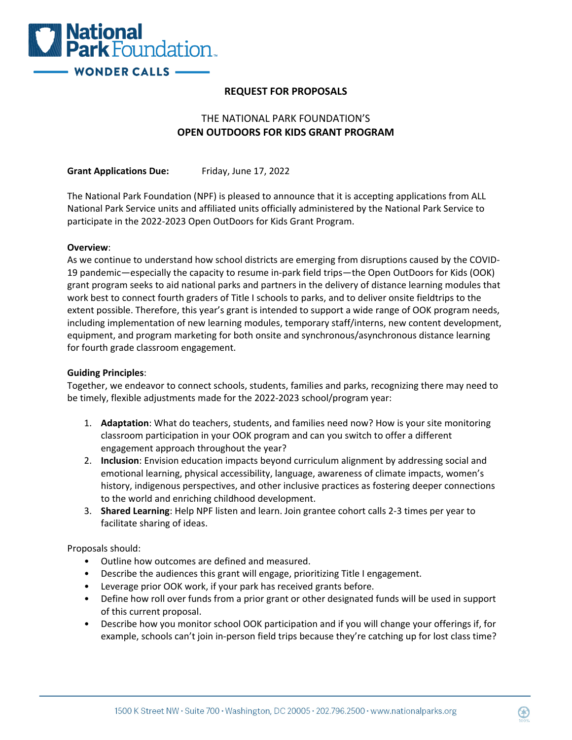

## **REQUEST FOR PROPOSALS**

# THE NATIONAL PARK FOUNDATION'S **OPEN OUTDOORS FOR KIDS GRANT PROGRAM**

**Grant Applications Due:** Friday, June 17, 2022

The National Park Foundation (NPF) is pleased to announce that it is accepting applications from ALL National Park Service units and affiliated units officially administered by the National Park Service to participate in the 2022-2023 Open OutDoors for Kids Grant Program.

### **Overview**:

As we continue to understand how school districts are emerging from disruptions caused by the COVID-19 pandemic—especially the capacity to resume in-park field trips—the Open OutDoors for Kids (OOK) grant program seeks to aid national parks and partners in the delivery of distance learning modules that work best to connect fourth graders of Title I schools to parks, and to deliver onsite fieldtrips to the extent possible. Therefore, this year's grant is intended to support a wide range of OOK program needs, including implementation of new learning modules, temporary staff/interns, new content development, equipment, and program marketing for both onsite and synchronous/asynchronous distance learning for fourth grade classroom engagement.

#### **Guiding Principles**:

Together, we endeavor to connect schools, students, families and parks, recognizing there may need to be timely, flexible adjustments made for the 2022-2023 school/program year:

- 1. **Adaptation**: What do teachers, students, and families need now? How is your site monitoring classroom participation in your OOK program and can you switch to offer a different engagement approach throughout the year?
- 2. **Inclusion**: Envision education impacts beyond curriculum alignment by addressing social and emotional learning, physical accessibility, language, awareness of climate impacts, women's history, indigenous perspectives, and other inclusive practices as fostering deeper connections to the world and enriching childhood development.
- 3. **Shared Learning**: Help NPF listen and learn. Join grantee cohort calls 2-3 times per year to facilitate sharing of ideas.

Proposals should:

- Outline how outcomes are defined and measured.
- Describe the audiences this grant will engage, prioritizing Title I engagement.
- Leverage prior OOK work, if your park has received grants before.
- Define how roll over funds from a prior grant or other designated funds will be used in support of this current proposal.
- Describe how you monitor school OOK participation and if you will change your offerings if, for example, schools can't join in-person field trips because they're catching up for lost class time?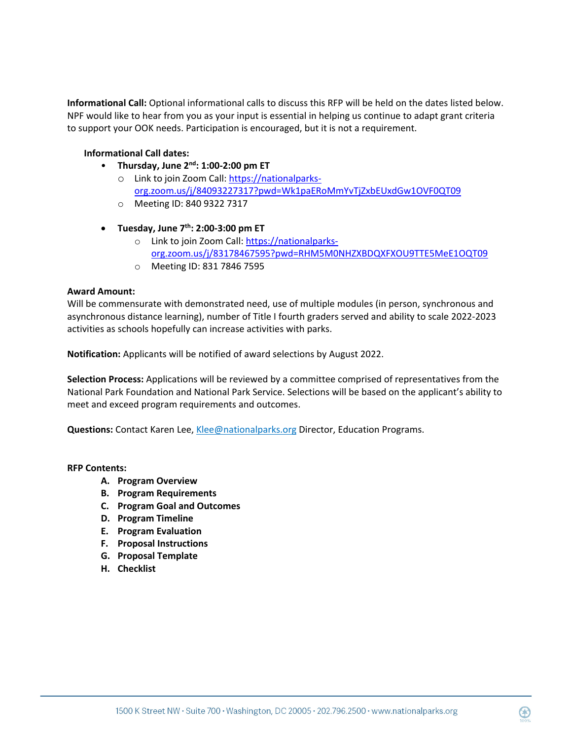**Informational Call:** Optional informational calls to discuss this RFP will be held on the dates listed below. NPF would like to hear from you as your input is essential in helping us continue to adapt grant criteria to support your OOK needs. Participation is encouraged, but it is not a requirement.

### **Informational Call dates:**

- **Thursday, June 2nd: 1:00-2:00 pm ET**
	- o Link to join Zoom Call: [https://nationalparks](https://nationalparks-org.zoom.us/j/84093227317?pwd=Wk1paERoMmYvTjZxbEUxdGw1OVF0QT09%20)[org.zoom.us/j/84093227317?pwd=Wk1paERoMmYvTjZxbEUxdGw1OVF0QT09](https://nationalparks-org.zoom.us/j/84093227317?pwd=Wk1paERoMmYvTjZxbEUxdGw1OVF0QT09%20)
	- o Meeting ID: 840 9322 7317
- **Tuesday, June 7th: 2:00-3:00 pm ET**
	- o Link to join Zoom Call: [https://nationalparks](https://nationalparks-org.zoom.us/j/83178467595?pwd=RHM5M0NHZXBDQXFXOU9TTE5MeE1OQT09)[org.zoom.us/j/83178467595?pwd=RHM5M0NHZXBDQXFXOU9TTE5MeE1OQT09](https://nationalparks-org.zoom.us/j/83178467595?pwd=RHM5M0NHZXBDQXFXOU9TTE5MeE1OQT09)
	- o Meeting ID: 831 7846 7595

#### **Award Amount:**

Will be commensurate with demonstrated need, use of multiple modules (in person, synchronous and asynchronous distance learning), number of Title I fourth graders served and ability to scale 2022-2023 activities as schools hopefully can increase activities with parks.

**Notification:** Applicants will be notified of award selections by August 2022.

**Selection Process:** Applications will be reviewed by a committee comprised of representatives from the National Park Foundation and National Park Service. Selections will be based on the applicant's ability to meet and exceed program requirements and outcomes.

**Questions:** Contact Karen Lee, [Klee@nationalparks.org](mailto:Klee@nationalparks.org) Director, Education Programs.

#### **RFP Contents:**

- **A. Program Overview**
- **B. Program Requirements**
- **C. Program Goal and Outcomes**
- **D. Program Timeline**
- **E. Program Evaluation**
- **F. Proposal Instructions**
- **G. Proposal Template**
- **H. Checklist**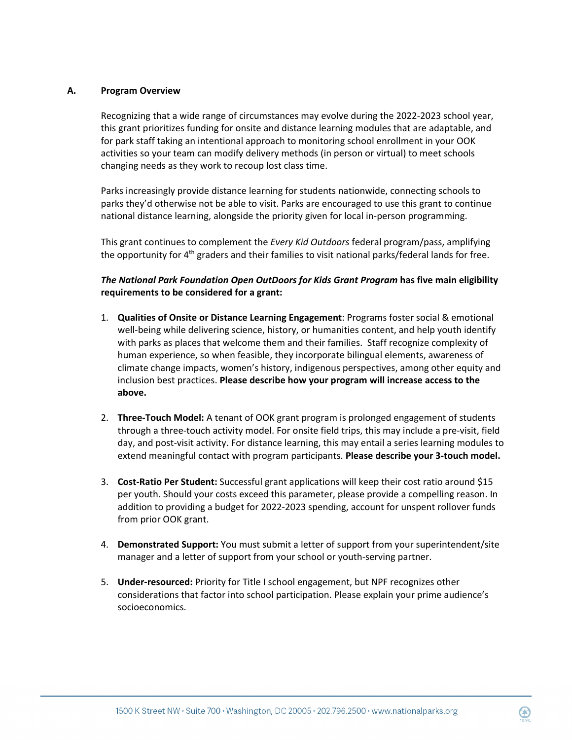### **A. Program Overview**

Recognizing that a wide range of circumstances may evolve during the 2022-2023 school year, this grant prioritizes funding for onsite and distance learning modules that are adaptable, and for park staff taking an intentional approach to monitoring school enrollment in your OOK activities so your team can modify delivery methods (in person or virtual) to meet schools changing needs as they work to recoup lost class time.

Parks increasingly provide distance learning for students nationwide, connecting schools to parks they'd otherwise not be able to visit. Parks are encouraged to use this grant to continue national distance learning, alongside the priority given for local in-person programming.

This grant continues to complement the *Every Kid Outdoors* federal program/pass, amplifying the opportunity for  $4<sup>th</sup>$  graders and their families to visit national parks/federal lands for free.

## *The National Park Foundation Open OutDoors for Kids Grant Program* **has five main eligibility requirements to be considered for a grant:**

- 1. **Qualities of Onsite or Distance Learning Engagement**: Programs foster social & emotional well-being while delivering science, history, or humanities content, and help youth identify with parks as places that welcome them and their families. Staff recognize complexity of human experience, so when feasible, they incorporate bilingual elements, awareness of climate change impacts, women's history, indigenous perspectives, among other equity and inclusion best practices. **Please describe how your program will increase access to the above.**
- 2. **Three-Touch Model:** A tenant of OOK grant program is prolonged engagement of students through a three-touch activity model. For onsite field trips, this may include a pre-visit, field day, and post-visit activity. For distance learning, this may entail a series learning modules to extend meaningful contact with program participants. **Please describe your 3-touch model.**
- 3. **Cost-Ratio Per Student:** Successful grant applications will keep their cost ratio around \$15 per youth. Should your costs exceed this parameter, please provide a compelling reason. In addition to providing a budget for 2022-2023 spending, account for unspent rollover funds from prior OOK grant.
- 4. **Demonstrated Support:** You must submit a letter of support from your superintendent/site manager and a letter of support from your school or youth-serving partner.
- 5. **Under-resourced:** Priority for Title I school engagement, but NPF recognizes other considerations that factor into school participation. Please explain your prime audience's socioeconomics.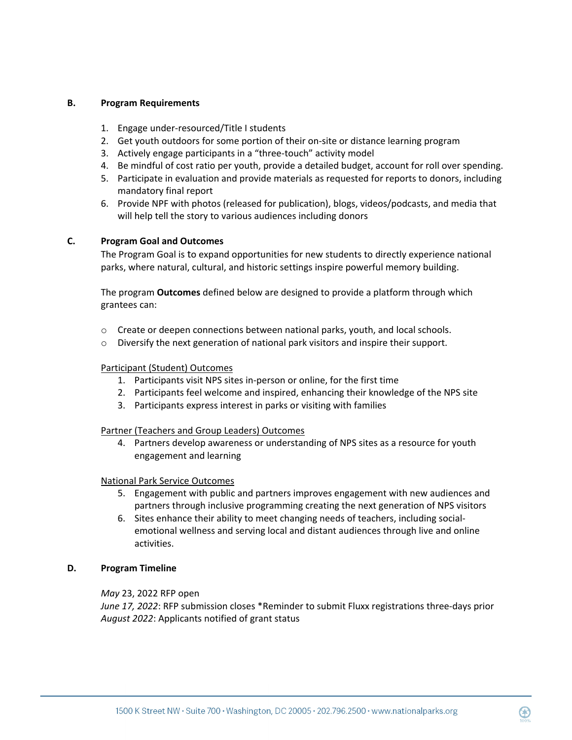### **B. Program Requirements**

- 1. Engage under-resourced/Title I students
- 2. Get youth outdoors for some portion of their on-site or distance learning program
- 3. Actively engage participants in a "three-touch" activity model
- 4. Be mindful of cost ratio per youth, provide a detailed budget, account for roll over spending.
- 5. Participate in evaluation and provide materials as requested for reports to donors, including mandatory final report
- 6. Provide NPF with photos (released for publication), blogs, videos/podcasts, and media that will help tell the story to various audiences including donors

#### **C. Program Goal and Outcomes**

The Program Goal is to expand opportunities for new students to directly experience national parks, where natural, cultural, and historic settings inspire powerful memory building.

The program **Outcomes** defined below are designed to provide a platform through which grantees can:

- $\circ$  Create or deepen connections between national parks, youth, and local schools.
- o Diversify the next generation of national park visitors and inspire their support.

#### Participant (Student) Outcomes

- 1. Participants visit NPS sites in-person or online, for the first time
- 2. Participants feel welcome and inspired, enhancing their knowledge of the NPS site
- 3. Participants express interest in parks or visiting with families

#### Partner (Teachers and Group Leaders) Outcomes

4. Partners develop awareness or understanding of NPS sites as a resource for youth engagement and learning

#### National Park Service Outcomes

- 5. Engagement with public and partners improves engagement with new audiences and partners through inclusive programming creating the next generation of NPS visitors
- 6. Sites enhance their ability to meet changing needs of teachers, including socialemotional wellness and serving local and distant audiences through live and online activities.

#### **D. Program Timeline**

#### *May* 23, 2022 RFP open

*June 17, 2022*: RFP submission closes \*Reminder to submit Fluxx registrations three-days prior *August 2022*: Applicants notified of grant status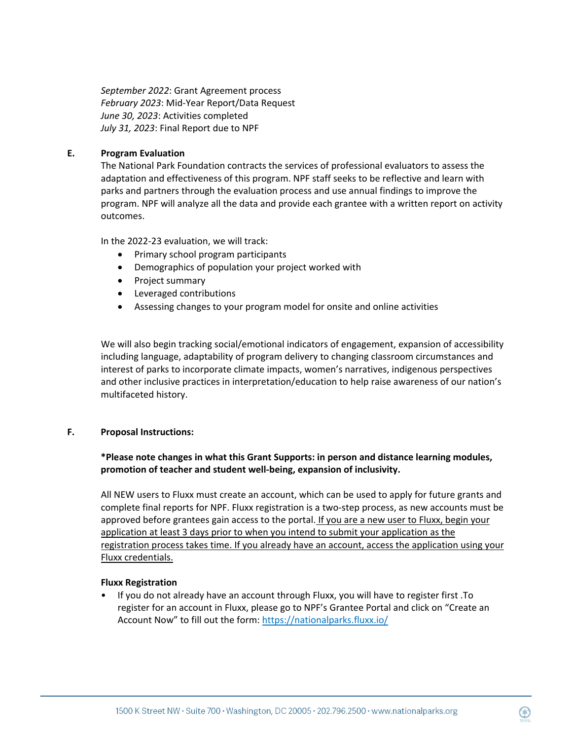*September 2022*: Grant Agreement process *February 2023*: Mid-Year Report/Data Request *June 30, 2023*: Activities completed *July 31, 2023*: Final Report due to NPF

### **E. Program Evaluation**

The National Park Foundation contracts the services of professional evaluators to assess the adaptation and effectiveness of this program. NPF staff seeks to be reflective and learn with parks and partners through the evaluation process and use annual findings to improve the program. NPF will analyze all the data and provide each grantee with a written report on activity outcomes.

In the 2022-23 evaluation, we will track:

- Primary school program participants
- Demographics of population your project worked with
- Project summary
- Leveraged contributions
- Assessing changes to your program model for onsite and online activities

We will also begin tracking social/emotional indicators of engagement, expansion of accessibility including language, adaptability of program delivery to changing classroom circumstances and interest of parks to incorporate climate impacts, women's narratives, indigenous perspectives and other inclusive practices in interpretation/education to help raise awareness of our nation's multifaceted history.

### **F. Proposal Instructions:**

## **\*Please note changes in what this Grant Supports: in person and distance learning modules, promotion of teacher and student well-being, expansion of inclusivity.**

All NEW users to Fluxx must create an account, which can be used to apply for future grants and complete final reports for NPF. Fluxx registration is a two-step process, as new accounts must be approved before grantees gain access to the portal. If you are a new user to Fluxx, begin your application at least 3 days prior to when you intend to submit your application as the registration process takes time. If you already have an account, access the application using your Fluxx credentials.

### **Fluxx Registration**

• If you do not already have an account through Fluxx, you will have to register first .To register for an account in Fluxx, please go to NPF's Grantee Portal and click on "Create an Account Now" to fill out the form:<https://nationalparks.fluxx.io/>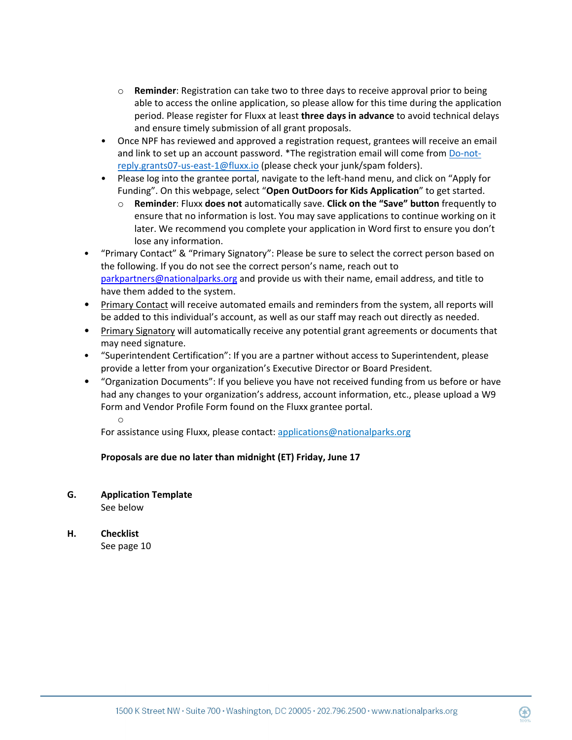- o **Reminder**: Registration can take two to three days to receive approval prior to being able to access the online application, so please allow for this time during the application period. Please register for Fluxx at least **three days in advance** to avoid technical delays and ensure timely submission of all grant proposals.
- Once NPF has reviewed and approved a registration request, grantees will receive an email and link to set up an account password. \*The registration email will come from Do-notreply.grants07-us-east-1@fluxx.io (please check your junk/spam folders).
- Please log into the grantee portal, navigate to the left-hand menu, and click on "Apply for Funding". On this webpage, select "**Open OutDoors for Kids Application**" to get started.
	- o **Reminder**: Fluxx **does not** automatically save. **Click on the "Save" button** frequently to ensure that no information is lost. You may save applications to continue working on it later. We recommend you complete your application in Word first to ensure you don't lose any information.
- "Primary Contact" & "Primary Signatory": Please be sure to select the correct person based on the following. If you do not see the correct person's name, reach out to [parkpartners@nationalparks.org](mailto:parkpartners@nationalparks.org) and provide us with their name, email address, and title to have them added to the system.
- Primary Contact will receive automated emails and reminders from the system, all reports will be added to this individual's account, as well as our staff may reach out directly as needed.
- Primary Signatory will automatically receive any potential grant agreements or documents that may need signature.
- "Superintendent Certification": If you are a partner without access to Superintendent, please provide a letter from your organization's Executive Director or Board President.
- "Organization Documents": If you believe you have not received funding from us before or have had any changes to your organization's address, account information, etc., please upload a W9 Form and Vendor Profile Form found on the Fluxx grantee portal.

o

For assistance using Fluxx, please contact[: applications@nationalparks.org](mailto:applications@nationalparks.org) 

## **Proposals are due no later than midnight (ET) Friday, June 17**

**G. Application Template**

See below

**H. Checklist**  See page 10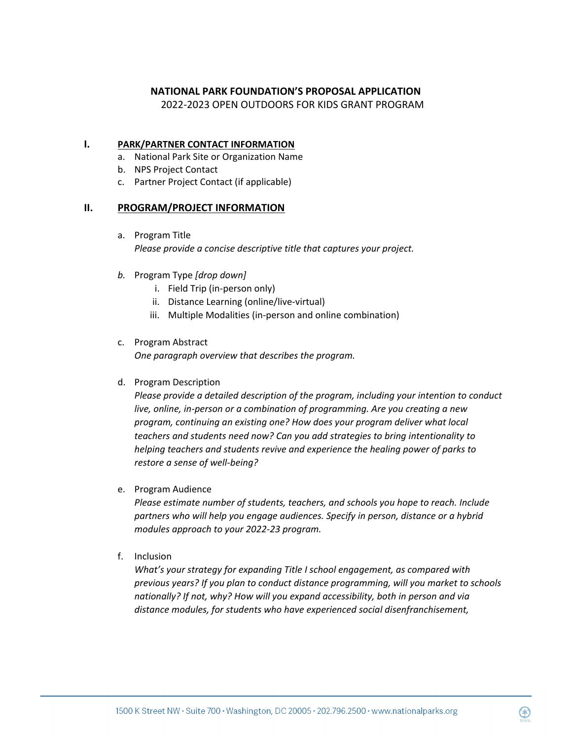### **NATIONAL PARK FOUNDATION'S PROPOSAL APPLICATION**

2022-2023 OPEN OUTDOORS FOR KIDS GRANT PROGRAM

### **I. PARK/PARTNER CONTACT INFORMATION**

- a. National Park Site or Organization Name
- b. NPS Project Contact
- c. Partner Project Contact (if applicable)

### **II. PROGRAM/PROJECT INFORMATION**

- a. Program Title *Please provide a concise descriptive title that captures your project.*
- *b.* Program Type *[drop down]*
	- i. Field Trip (in-person only)
	- ii. Distance Learning (online/live-virtual)
	- iii. Multiple Modalities (in-person and online combination)

### c. Program Abstract

*One paragraph overview that describes the program.*

### d. Program Description

*Please provide a detailed description of the program, including your intention to conduct live, online, in-person or a combination of programming. Are you creating a new program, continuing an existing one? How does your program deliver what local teachers and students need now? Can you add strategies to bring intentionality to helping teachers and students revive and experience the healing power of parks to restore a sense of well-being?* 

e. Program Audience

*Please estimate number of students, teachers, and schools you hope to reach. Include partners who will help you engage audiences. Specify in person, distance or a hybrid modules approach to your 2022-23 program.*

f. Inclusion

*What's your strategy for expanding Title I school engagement, as compared with previous years? If you plan to conduct distance programming, will you market to schools nationally? If not, why? How will you expand accessibility, both in person and via distance modules, for students who have experienced social disenfranchisement,*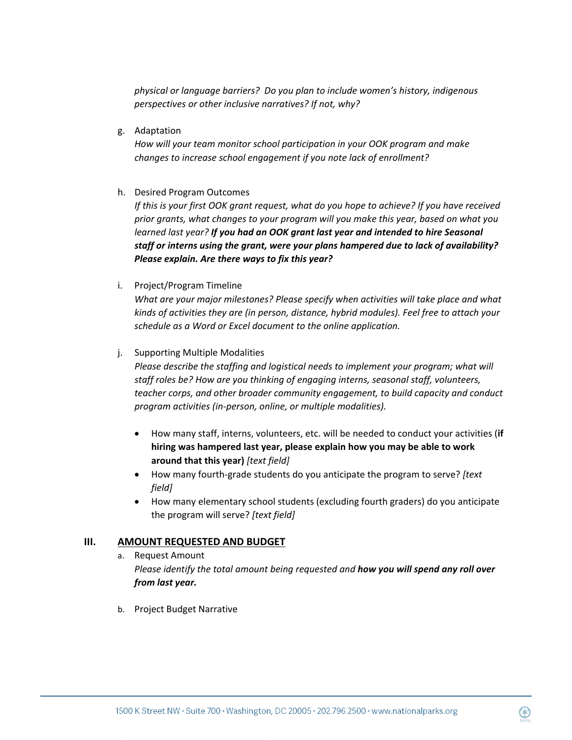*physical or language barriers? Do you plan to include women's history, indigenous perspectives or other inclusive narratives? If not, why?* 

g. Adaptation

*How will your team monitor school participation in your OOK program and make changes to increase school engagement if you note lack of enrollment?*

h. Desired Program Outcomes

*If this is your first OOK grant request, what do you hope to achieve? If you have received prior grants, what changes to your program will you make this year, based on what you learned last year? If you had an OOK grant last year and intended to hire Seasonal staff or interns using the grant, were your plans hampered due to lack of availability? Please explain. Are there ways to fix this year?*

i. Project/Program Timeline

*What are your major milestones? Please specify when activities will take place and what kinds of activities they are (in person, distance, hybrid modules). Feel free to attach your schedule as a Word or Excel document to the online application.*

#### j. Supporting Multiple Modalities

*Please describe the staffing and logistical needs to implement your program; what will staff roles be? How are you thinking of engaging interns, seasonal staff, volunteers, teacher corps, and other broader community engagement, to build capacity and conduct program activities (in-person, online, or multiple modalities).* 

- How many staff, interns, volunteers, etc. will be needed to conduct your activities (**if hiring was hampered last year, please explain how you may be able to work around that this year)** *[text field]*
- How many fourth-grade students do you anticipate the program to serve? *[text field]*
- How many elementary school students (excluding fourth graders) do you anticipate the program will serve? *[text field]*

### **III. AMOUNT REQUESTED AND BUDGET**

- a. Request Amount *Please identify the total amount being requested and how you will spend any roll over from last year.*
- b. Project Budget Narrative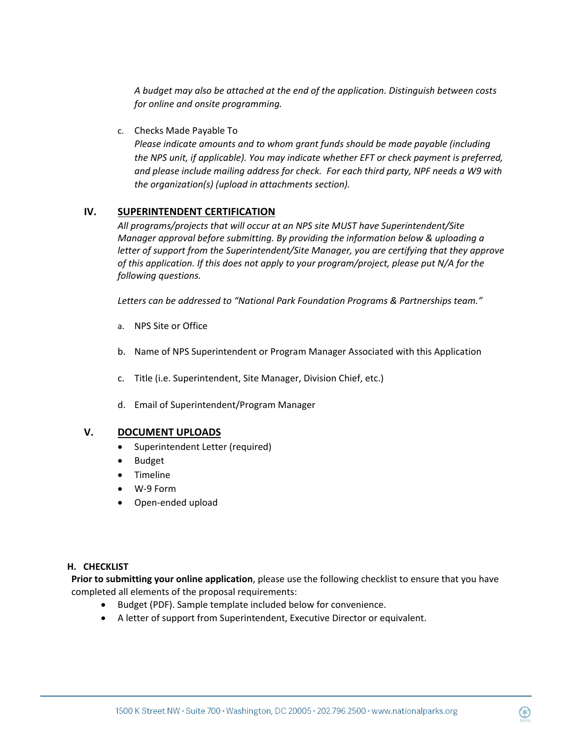*A budget may also be attached at the end of the application. Distinguish between costs for online and onsite programming.*

c. Checks Made Payable To

*Please indicate amounts and to whom grant funds should be made payable (including the NPS unit, if applicable). You may indicate whether EFT or check payment is preferred, and please include mailing address for check. For each third party, NPF needs a W9 with the organization(s) (upload in attachments section).* 

## **IV. SUPERINTENDENT CERTIFICATION**

*All programs/projects that will occur at an NPS site MUST have Superintendent/Site Manager approval before submitting. By providing the information below & uploading a letter of support from the Superintendent/Site Manager, you are certifying that they approve of this application. If this does not apply to your program/project, please put N/A for the following questions.*

*Letters can be addressed to "National Park Foundation Programs & Partnerships team."*

- a. NPS Site or Office
- b. Name of NPS Superintendent or Program Manager Associated with this Application
- c. Title (i.e. Superintendent, Site Manager, Division Chief, etc.)
- d. Email of Superintendent/Program Manager

## **V. DOCUMENT UPLOADS**

- Superintendent Letter (required)
- Budget
- Timeline
- W-9 Form
- Open-ended upload

### **H. CHECKLIST**

**Prior to submitting your online application**, please use the following checklist to ensure that you have completed all elements of the proposal requirements:

- Budget (PDF). Sample template included below for convenience.
- A letter of support from Superintendent, Executive Director or equivalent.